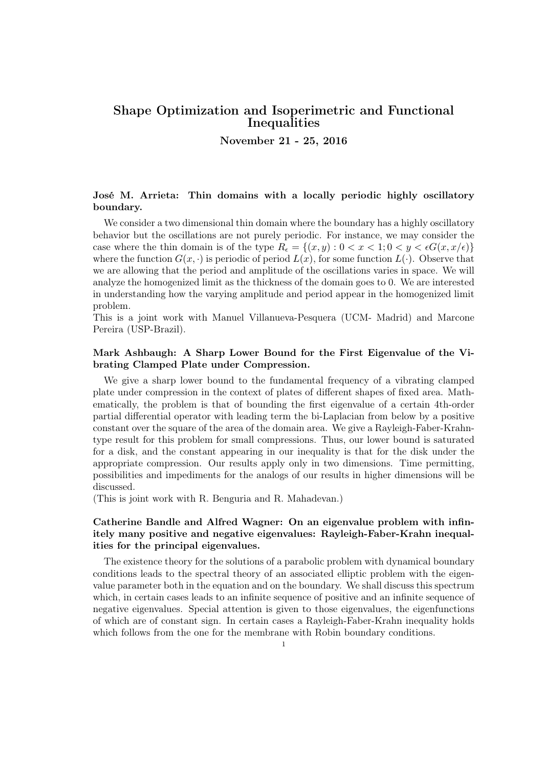# Shape Optimization and Isoperimetric and Functional Inequalities

November 21 - 25, 2016

# José M. Arrieta: Thin domains with a locally periodic highly oscillatory boundary.

We consider a two dimensional thin domain where the boundary has a highly oscillatory behavior but the oscillations are not purely periodic. For instance, we may consider the case where the thin domain is of the type  $R_{\epsilon} = \{(x, y) : 0 < x < 1; 0 < y < \epsilon G(x, x/\epsilon)\}\$ where the function  $G(x, \cdot)$  is periodic of period  $L(x)$ , for some function  $L(\cdot)$ . Observe that we are allowing that the period and amplitude of the oscillations varies in space. We will analyze the homogenized limit as the thickness of the domain goes to 0. We are interested in understanding how the varying amplitude and period appear in the homogenized limit problem.

This is a joint work with Manuel Villanueva-Pesquera (UCM- Madrid) and Marcone Pereira (USP-Brazil).

# Mark Ashbaugh: A Sharp Lower Bound for the First Eigenvalue of the Vibrating Clamped Plate under Compression.

We give a sharp lower bound to the fundamental frequency of a vibrating clamped plate under compression in the context of plates of different shapes of fixed area. Mathematically, the problem is that of bounding the first eigenvalue of a certain 4th-order partial differential operator with leading term the bi-Laplacian from below by a positive constant over the square of the area of the domain area. We give a Rayleigh-Faber-Krahntype result for this problem for small compressions. Thus, our lower bound is saturated for a disk, and the constant appearing in our inequality is that for the disk under the appropriate compression. Our results apply only in two dimensions. Time permitting, possibilities and impediments for the analogs of our results in higher dimensions will be discussed.

(This is joint work with R. Benguria and R. Mahadevan.)

# Catherine Bandle and Alfred Wagner: On an eigenvalue problem with infinitely many positive and negative eigenvalues: Rayleigh-Faber-Krahn inequalities for the principal eigenvalues.

The existence theory for the solutions of a parabolic problem with dynamical boundary conditions leads to the spectral theory of an associated elliptic problem with the eigenvalue parameter both in the equation and on the boundary. We shall discuss this spectrum which, in certain cases leads to an infinite sequence of positive and an infinite sequence of negative eigenvalues. Special attention is given to those eigenvalues, the eigenfunctions of which are of constant sign. In certain cases a Rayleigh-Faber-Krahn inequality holds which follows from the one for the membrane with Robin boundary conditions.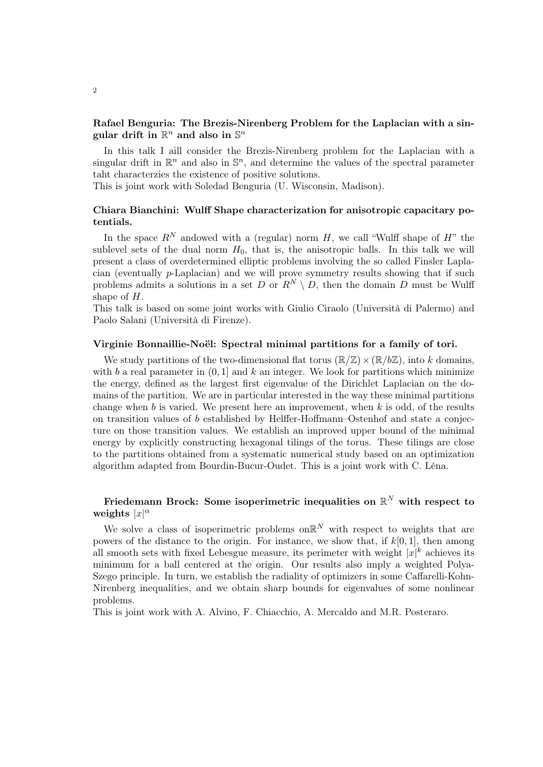# Rafael Benguria: The Brezis-Nirenberg Problem for the Laplacian with a singular drift in  $\mathbb{R}^n$  and also in  $\mathbb{S}^n$

In this talk I aill consider the Brezis-Nirenberg problem for the Laplacian with a singular drift in  $\mathbb{R}^n$  and also in  $\mathbb{S}^n$ , and determine the values of the spectral parameter taht characterzies the existence of positive solutions.

This is joint work with Soledad Benguria (U. Wisconsin, Madison).

# Chiara Bianchini: Wulff Shape characterization for anisotropic capacitary potentials.

In the space  $R^N$  andowed with a (regular) norm H, we call "Wulff shape of H" the sublevel sets of the dual norm  $H_0$ , that is, the anisotropic balls. In this talk we will present a class of overdetermined elliptic problems involving the so called Finsler Laplacian (eventually p-Laplacian) and we will prove symmetry results showing that if such problems admits a solutions in a set D or  $R^N \setminus D$ , then the domain D must be Wulff shape of H.

This talk is based on some joint works with Giulio Ciraolo (Università di Palermo) and Paolo Salani (Università di Firenze).

#### Virginie Bonnaillie-Noël: Spectral minimal partitions for a family of tori.

We study partitions of the two-dimensional flat torus  $(\mathbb{R}/\mathbb{Z}) \times (\mathbb{R}/b\mathbb{Z})$ , into k domains, with b a real parameter in  $(0, 1]$  and k an integer. We look for partitions which minimize the energy, defined as the largest first eigenvalue of the Dirichlet Laplacian on the domains of the partition. We are in particular interested in the way these minimal partitions change when  $b$  is varied. We present here an improvement, when  $k$  is odd, of the results on transition values of b established by Helffer-Hoffmann–Ostenhof and state a conjecture on those transition values. We establish an improved upper bound of the minimal energy by explicitly constructing hexagonal tilings of the torus. These tilings are close to the partitions obtained from a systematic numerical study based on an optimization algorithm adapted from Bourdin-Bucur-Oudet. This is a joint work with C. Léna.

# Friedemann Brock: Some isoperimetric inequalities on  $\mathbb{R}^N$  with respect to weights  $|x|^{\alpha}$

We solve a class of isoperimetric problems on  $\mathbb{R}^N$  with respect to weights that are powers of the distance to the origin. For instance, we show that, if  $k[0, 1]$ , then among all smooth sets with fixed Lebesgue measure, its perimeter with weight  $|x|^k$  achieves its minimum for a ball centered at the origin. Our results also imply a weighted Polya-Szego principle. In turn, we establish the radiality of optimizers in some Caffarelli-Kohn-Nirenberg inequalities, and we obtain sharp bounds for eigenvalues of some nonlinear problems.

This is joint work with A. Alvino, F. Chiacchio, A. Mercaldo and M.R. Posteraro.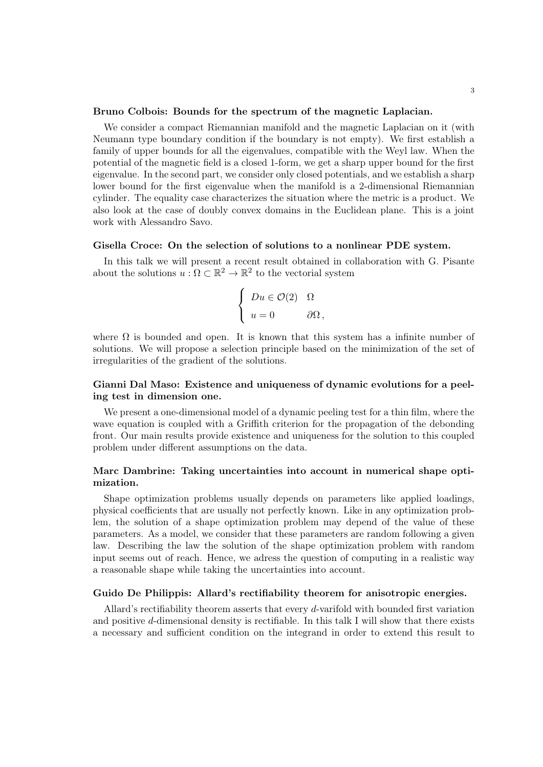#### Bruno Colbois: Bounds for the spectrum of the magnetic Laplacian.

We consider a compact Riemannian manifold and the magnetic Laplacian on it (with Neumann type boundary condition if the boundary is not empty). We first establish a family of upper bounds for all the eigenvalues, compatible with the Weyl law. When the potential of the magnetic field is a closed 1-form, we get a sharp upper bound for the first eigenvalue. In the second part, we consider only closed potentials, and we establish a sharp lower bound for the first eigenvalue when the manifold is a 2-dimensional Riemannian cylinder. The equality case characterizes the situation where the metric is a product. We also look at the case of doubly convex domains in the Euclidean plane. This is a joint work with Alessandro Savo.

#### Gisella Croce: On the selection of solutions to a nonlinear PDE system.

In this talk we will present a recent result obtained in collaboration with G. Pisante about the solutions  $u : \Omega \subset \mathbb{R}^2 \to \mathbb{R}^2$  to the vectorial system

$$
\begin{cases}\nDu \in \mathcal{O}(2) & \Omega \\
u = 0 & \partial\Omega\n\end{cases}
$$

where  $\Omega$  is bounded and open. It is known that this system has a infinite number of solutions. We will propose a selection principle based on the minimization of the set of irregularities of the gradient of the solutions.

# Gianni Dal Maso: Existence and uniqueness of dynamic evolutions for a peeling test in dimension one.

We present a one-dimensional model of a dynamic peeling test for a thin film, where the wave equation is coupled with a Griffith criterion for the propagation of the debonding front. Our main results provide existence and uniqueness for the solution to this coupled problem under different assumptions on the data.

### Marc Dambrine: Taking uncertainties into account in numerical shape optimization.

Shape optimization problems usually depends on parameters like applied loadings, physical coefficients that are usually not perfectly known. Like in any optimization problem, the solution of a shape optimization problem may depend of the value of these parameters. As a model, we consider that these parameters are random following a given law. Describing the law the solution of the shape optimization problem with random input seems out of reach. Hence, we adress the question of computing in a realistic way a reasonable shape while taking the uncertainties into account.

#### Guido De Philippis: Allard's rectifiability theorem for anisotropic energies.

Allard's rectifiability theorem asserts that every d-varifold with bounded first variation and positive d-dimensional density is rectifiable. In this talk I will show that there exists a necessary and sufficient condition on the integrand in order to extend this result to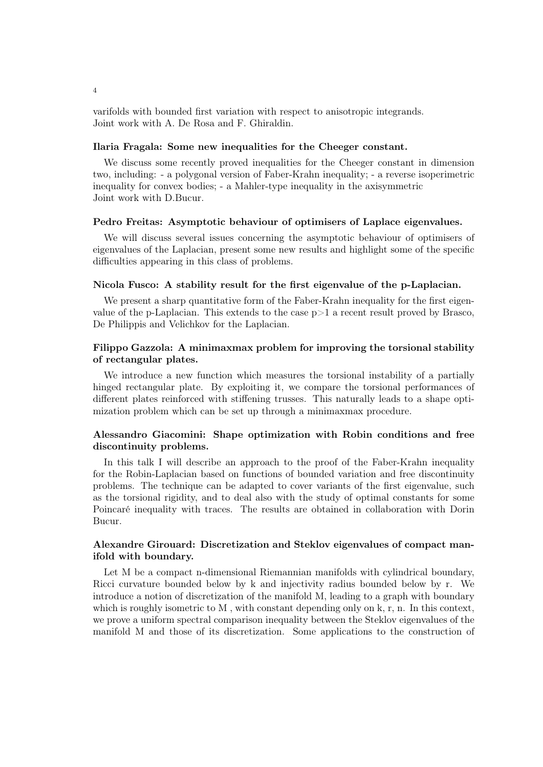varifolds with bounded first variation with respect to anisotropic integrands. Joint work with A. De Rosa and F. Ghiraldin.

#### Ilaria Fragala: Some new inequalities for the Cheeger constant.

We discuss some recently proved inequalities for the Cheeger constant in dimension two, including: - a polygonal version of Faber-Krahn inequality; - a reverse isoperimetric inequality for convex bodies; - a Mahler-type inequality in the axisymmetric Joint work with D.Bucur.

#### Pedro Freitas: Asymptotic behaviour of optimisers of Laplace eigenvalues.

We will discuss several issues concerning the asymptotic behaviour of optimisers of eigenvalues of the Laplacian, present some new results and highlight some of the specific difficulties appearing in this class of problems.

#### Nicola Fusco: A stability result for the first eigenvalue of the p-Laplacian.

We present a sharp quantitative form of the Faber-Krahn inequality for the first eigenvalue of the p-Laplacian. This extends to the case  $p>1$  a recent result proved by Brasco, De Philippis and Velichkov for the Laplacian.

# Filippo Gazzola: A minimaxmax problem for improving the torsional stability of rectangular plates.

We introduce a new function which measures the torsional instability of a partially hinged rectangular plate. By exploiting it, we compare the torsional performances of different plates reinforced with stiffening trusses. This naturally leads to a shape optimization problem which can be set up through a minimaxmax procedure.

# Alessandro Giacomini: Shape optimization with Robin conditions and free discontinuity problems.

In this talk I will describe an approach to the proof of the Faber-Krahn inequality for the Robin-Laplacian based on functions of bounded variation and free discontinuity problems. The technique can be adapted to cover variants of the first eigenvalue, such as the torsional rigidity, and to deal also with the study of optimal constants for some Poincaré inequality with traces. The results are obtained in collaboration with Dorin Bucur.

## Alexandre Girouard: Discretization and Steklov eigenvalues of compact manifold with boundary.

Let M be a compact n-dimensional Riemannian manifolds with cylindrical boundary, Ricci curvature bounded below by k and injectivity radius bounded below by r. We introduce a notion of discretization of the manifold M, leading to a graph with boundary which is roughly isometric to M, with constant depending only on k, r, n. In this context, we prove a uniform spectral comparison inequality between the Steklov eigenvalues of the manifold M and those of its discretization. Some applications to the construction of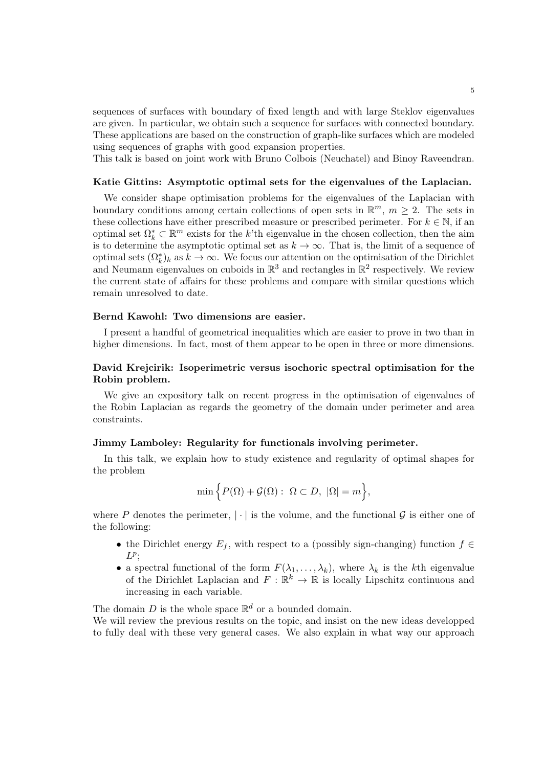sequences of surfaces with boundary of fixed length and with large Steklov eigenvalues are given. In particular, we obtain such a sequence for surfaces with connected boundary. These applications are based on the construction of graph-like surfaces which are modeled using sequences of graphs with good expansion properties.

This talk is based on joint work with Bruno Colbois (Neuchatel) and Binoy Raveendran.

#### Katie Gittins: Asymptotic optimal sets for the eigenvalues of the Laplacian.

We consider shape optimisation problems for the eigenvalues of the Laplacian with boundary conditions among certain collections of open sets in  $\mathbb{R}^m$ ,  $m \geq 2$ . The sets in these collections have either prescribed measure or prescribed perimeter. For  $k \in \mathbb{N}$ , if an optimal set  $\Omega_k^* \subset \mathbb{R}^m$  exists for the k'th eigenvalue in the chosen collection, then the aim is to determine the asymptotic optimal set as  $k \to \infty$ . That is, the limit of a sequence of optimal sets  $(\Omega_k^*)_k$  as  $k \to \infty$ . We focus our attention on the optimisation of the Dirichlet and Neumann eigenvalues on cuboids in  $\mathbb{R}^3$  and rectangles in  $\mathbb{R}^2$  respectively. We review the current state of affairs for these problems and compare with similar questions which remain unresolved to date.

# Bernd Kawohl: Two dimensions are easier.

I present a handful of geometrical inequalities which are easier to prove in two than in higher dimensions. In fact, most of them appear to be open in three or more dimensions.

### David Krejcirik: Isoperimetric versus isochoric spectral optimisation for the Robin problem.

We give an expository talk on recent progress in the optimisation of eigenvalues of the Robin Laplacian as regards the geometry of the domain under perimeter and area constraints.

#### Jimmy Lamboley: Regularity for functionals involving perimeter.

In this talk, we explain how to study existence and regularity of optimal shapes for the problem

$$
\min \Big\{ P(\Omega) + \mathcal{G}(\Omega) : \ \Omega \subset D, \ |\Omega| = m \Big\},\
$$

where P denotes the perimeter,  $|\cdot|$  is the volume, and the functional G is either one of the following:

- the Dirichlet energy  $E_f$ , with respect to a (possibly sign-changing) function  $f \in$  $L^p$ ;
- a spectral functional of the form  $F(\lambda_1, \ldots, \lambda_k)$ , where  $\lambda_k$  is the kth eigenvalue of the Dirichlet Laplacian and  $F: \mathbb{R}^k \to \mathbb{R}$  is locally Lipschitz continuous and increasing in each variable.

The domain D is the whole space  $\mathbb{R}^d$  or a bounded domain.

We will review the previous results on the topic, and insist on the new ideas developped to fully deal with these very general cases. We also explain in what way our approach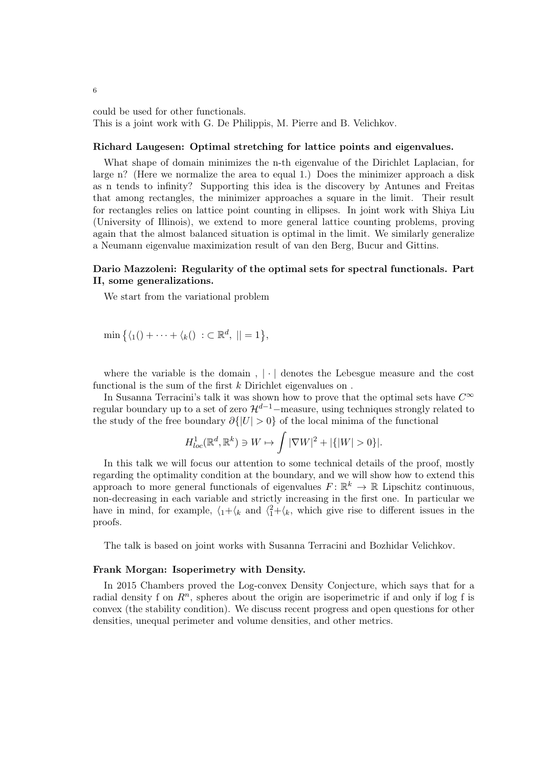could be used for other functionals. This is a joint work with G. De Philippis, M. Pierre and B. Velichkov.

#### Richard Laugesen: Optimal stretching for lattice points and eigenvalues.

What shape of domain minimizes the n-th eigenvalue of the Dirichlet Laplacian, for large n? (Here we normalize the area to equal 1.) Does the minimizer approach a disk as n tends to infinity? Supporting this idea is the discovery by Antunes and Freitas that among rectangles, the minimizer approaches a square in the limit. Their result for rectangles relies on lattice point counting in ellipses. In joint work with Shiya Liu (University of Illinois), we extend to more general lattice counting problems, proving again that the almost balanced situation is optimal in the limit. We similarly generalize a Neumann eigenvalue maximization result of van den Berg, Bucur and Gittins.

#### Dario Mazzoleni: Regularity of the optimal sets for spectral functionals. Part II, some generalizations.

We start from the variational problem

$$
\min\big\{\langle 1(1)+\cdots+\langle k(l) \,:\, \subset \mathbb{R}^d, \,||=1\big\},\
$$

where the variable is the domain,  $|\cdot|$  denotes the Lebesgue measure and the cost functional is the sum of the first k Dirichlet eigenvalues on.

In Susanna Terracini's talk it was shown how to prove that the optimal sets have  $C^{\infty}$ regular boundary up to a set of zero  $\mathcal{H}^{d-1}$ –measure, using techniques strongly related to the study of the free boundary  $\partial\{|U| > 0\}$  of the local minima of the functional

$$
H_{loc}^1(\mathbb{R}^d, \mathbb{R}^k) \ni W \mapsto \int |\nabla W|^2 + |\{|W| > 0\}|.
$$

In this talk we will focus our attention to some technical details of the proof, mostly regarding the optimality condition at the boundary, and we will show how to extend this approach to more general functionals of eigenvalues  $F: \mathbb{R}^k \to \mathbb{R}$  Lipschitz continuous, non-decreasing in each variable and strictly increasing in the first one. In particular we have in mind, for example,  $\langle 1+\langle k \rangle$  and  $\langle 1+\langle k \rangle$ , which give rise to different issues in the proofs.

The talk is based on joint works with Susanna Terracini and Bozhidar Velichkov.

#### Frank Morgan: Isoperimetry with Density.

In 2015 Chambers proved the Log-convex Density Conjecture, which says that for a radial density f on  $R<sup>n</sup>$ , spheres about the origin are isoperimetric if and only if log f is convex (the stability condition). We discuss recent progress and open questions for other densities, unequal perimeter and volume densities, and other metrics.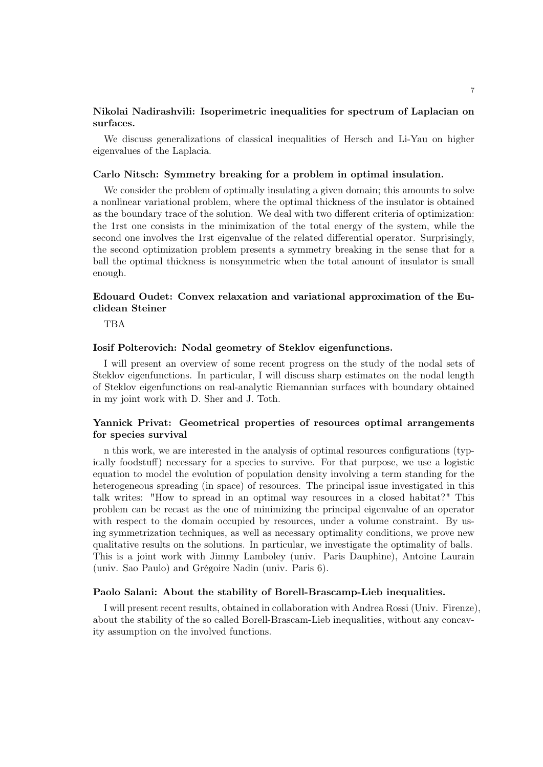#### Nikolai Nadirashvili: Isoperimetric inequalities for spectrum of Laplacian on surfaces.

We discuss generalizations of classical inequalities of Hersch and Li-Yau on higher eigenvalues of the Laplacia.

#### Carlo Nitsch: Symmetry breaking for a problem in optimal insulation.

We consider the problem of optimally insulating a given domain; this amounts to solve a nonlinear variational problem, where the optimal thickness of the insulator is obtained as the boundary trace of the solution. We deal with two different criteria of optimization: the 1rst one consists in the minimization of the total energy of the system, while the second one involves the 1rst eigenvalue of the related differential operator. Surprisingly, the second optimization problem presents a symmetry breaking in the sense that for a ball the optimal thickness is nonsymmetric when the total amount of insulator is small enough.

# Edouard Oudet: Convex relaxation and variational approximation of the Euclidean Steiner

TBA

#### Iosif Polterovich: Nodal geometry of Steklov eigenfunctions.

I will present an overview of some recent progress on the study of the nodal sets of Steklov eigenfunctions. In particular, I will discuss sharp estimates on the nodal length of Steklov eigenfunctions on real-analytic Riemannian surfaces with boundary obtained in my joint work with D. Sher and J. Toth.

# Yannick Privat: Geometrical properties of resources optimal arrangements for species survival

n this work, we are interested in the analysis of optimal resources configurations (typically foodstuff) necessary for a species to survive. For that purpose, we use a logistic equation to model the evolution of population density involving a term standing for the heterogeneous spreading (in space) of resources. The principal issue investigated in this talk writes: "How to spread in an optimal way resources in a closed habitat?" This problem can be recast as the one of minimizing the principal eigenvalue of an operator with respect to the domain occupied by resources, under a volume constraint. By using symmetrization techniques, as well as necessary optimality conditions, we prove new qualitative results on the solutions. In particular, we investigate the optimality of balls. This is a joint work with Jimmy Lamboley (univ. Paris Dauphine), Antoine Laurain (univ. Sao Paulo) and Grégoire Nadin (univ. Paris 6).

#### Paolo Salani: About the stability of Borell-Brascamp-Lieb inequalities.

I will present recent results, obtained in collaboration with Andrea Rossi (Univ. Firenze), about the stability of the so called Borell-Brascam-Lieb inequalities, without any concavity assumption on the involved functions.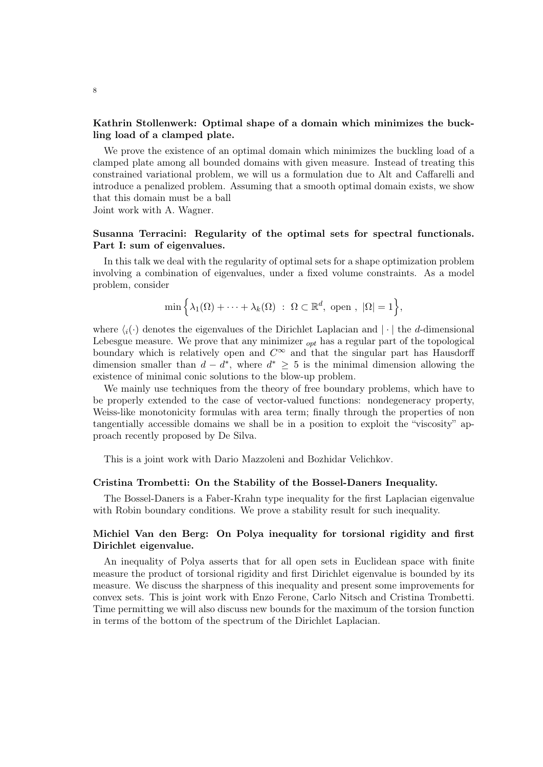# Kathrin Stollenwerk: Optimal shape of a domain which minimizes the buckling load of a clamped plate.

We prove the existence of an optimal domain which minimizes the buckling load of a clamped plate among all bounded domains with given measure. Instead of treating this constrained variational problem, we will us a formulation due to Alt and Caffarelli and introduce a penalized problem. Assuming that a smooth optimal domain exists, we show that this domain must be a ball Joint work with A. Wagner.

### Susanna Terracini: Regularity of the optimal sets for spectral functionals. Part I: sum of eigenvalues.

In this talk we deal with the regularity of optimal sets for a shape optimization problem involving a combination of eigenvalues, under a fixed volume constraints. As a model problem, consider

$$
\min\left\{\lambda_1(\Omega)+\cdots+\lambda_k(\Omega)\;:\; \Omega\subset\mathbb{R}^d, \text{ open }, |\Omega|=1\right\},\
$$

where  $\langle i(\cdot)$  denotes the eigenvalues of the Dirichlet Laplacian and  $|\cdot|$  the d-dimensional Lebesgue measure. We prove that any minimizer  $_{opt}$  has a regular part of the topological boundary which is relatively open and  $C^{\infty}$  and that the singular part has Hausdorff dimension smaller than  $d - d^*$ , where  $d^* \geq 5$  is the minimal dimension allowing the existence of minimal conic solutions to the blow-up problem.

We mainly use techniques from the theory of free boundary problems, which have to be properly extended to the case of vector-valued functions: nondegeneracy property, Weiss-like monotonicity formulas with area term; finally through the properties of non tangentially accessible domains we shall be in a position to exploit the "viscosity" approach recently proposed by De Silva.

This is a joint work with Dario Mazzoleni and Bozhidar Velichkov.

#### Cristina Trombetti: On the Stability of the Bossel-Daners Inequality.

The Bossel-Daners is a Faber-Krahn type inequality for the first Laplacian eigenvalue with Robin boundary conditions. We prove a stability result for such inequality.

# Michiel Van den Berg: On Polya inequality for torsional rigidity and first Dirichlet eigenvalue.

An inequality of Polya asserts that for all open sets in Euclidean space with finite measure the product of torsional rigidity and first Dirichlet eigenvalue is bounded by its measure. We discuss the sharpness of this inequality and present some improvements for convex sets. This is joint work with Enzo Ferone, Carlo Nitsch and Cristina Trombetti. Time permitting we will also discuss new bounds for the maximum of the torsion function in terms of the bottom of the spectrum of the Dirichlet Laplacian.